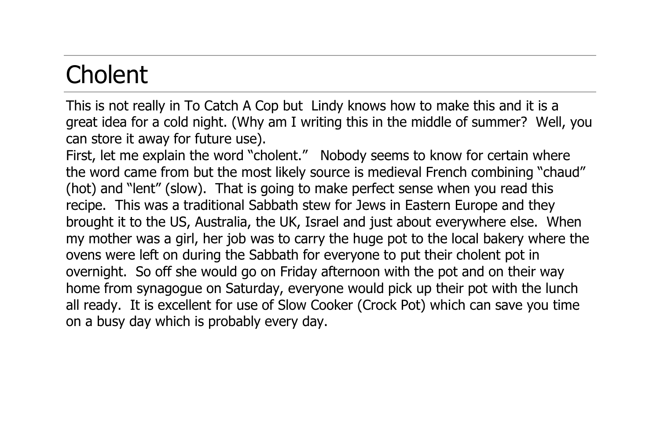## **Cholent**

This is not really in To Catch A Cop but Lindy knows how to make this and it is a great idea for a cold night. (Why am I writing this in the middle of summer? Well, you can store it away for future use).

First, let me explain the word "cholent." Nobody seems to know for certain where the word came from but the most likely source is medieval French combining "chaud" (hot) and "lent" (slow). That is going to make perfect sense when you read this recipe. This was a traditional Sabbath stew for Jews in Eastern Europe and they brought it to the US, Australia, the UK, Israel and just about everywhere else. When my mother was a girl, her job was to carry the huge pot to the local bakery where the ovens were left on during the Sabbath for everyone to put their cholent pot in overnight. So off she would go on Friday afternoon with the pot and on their way home from synagogue on Saturday, everyone would pick up their pot with the lunch all ready. It is excellent for use of Slow Cooker (Crock Pot) which can save you time on a busy day which is probably every day.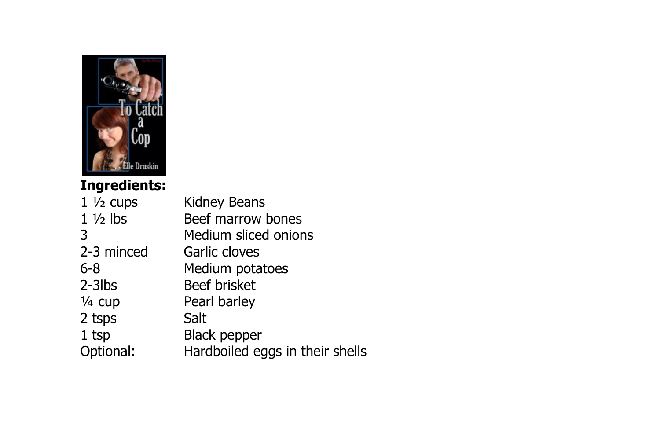

## **Ingredients:**

| $1\frac{1}{2}$ cups | Kidney Beans                    |
|---------------------|---------------------------------|
| $1\frac{1}{2}$ lbs  | Beef marrow bones               |
| 3                   | Medium sliced onions            |
| 2-3 minced          | Garlic cloves                   |
| 6-8                 | Medium potatoes                 |
| $2-3$ lbs           | Beef brisket                    |
| $\frac{1}{4}$ cup   | Pearl barley                    |
| 2 tsps              | Salt                            |
| 1 tsp               | Black pepper                    |
| Optional:           | Hardboiled eggs in their shells |